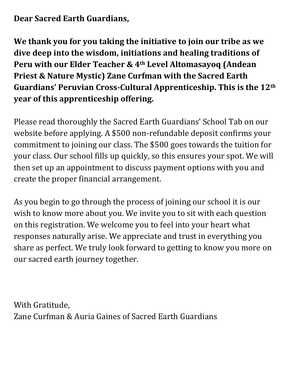# **Dear Sacred Earth Guardians,**

**We thank you for you taking the initiative to join our tribe as we dive deep into the wisdom, initiations and healing traditions of Peru with our Elder Teacher & 4th Level Altomasayoq (Andean Priest & Nature Mystic) Zane Curfman with the Sacred Earth Guardians' Peruvian Cross-Cultural Apprenticeship. This is the 12th year of this apprenticeship offering.**

Please read thoroughly the Sacred Earth Guardians' School Tab on our website before applying. A \$500 non-refundable deposit confirms your commitment to joining our class. The \$500 goes towards the tuition for your class. Our school fills up quickly, so this ensures your spot. We will then set up an appointment to discuss payment options with you and create the proper financial arrangement.

As you begin to go through the process of joining our school it is our wish to know more about you. We invite you to sit with each question on this registration. We welcome you to feel into your heart what responses naturally arise. We appreciate and trust in everything you share as perfect. We truly look forward to getting to know you more on our sacred earth journey together.

With Gratitude, Zane Curfman & Auria Gaines of Sacred Earth Guardians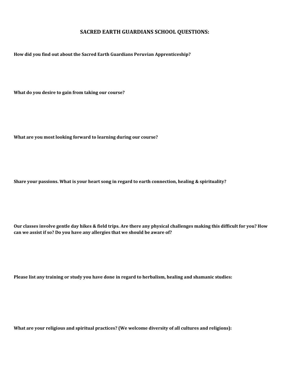#### **SACRED EARTH GUARDIANS SCHOOL QUESTIONS:**

**How did you find out about the Sacred Earth Guardians Peruvian Apprenticeship?**

**What do you desire to gain from taking our course?**

**What are you most looking forward to learning during our course?**

**Share your passions. What is your heart song in regard to earth connection, healing & spirituality?**

**Our classes involve gentle day hikes & field trips. Are there any physical challenges making this difficult for you? How can we assist if so? Do you have any allergies that we should be aware of?**

**Please list any training or study you have done in regard to herbalism, healing and shamanic studies:**

**What are your religious and spiritual practices? (We welcome diversity of all cultures and religions):**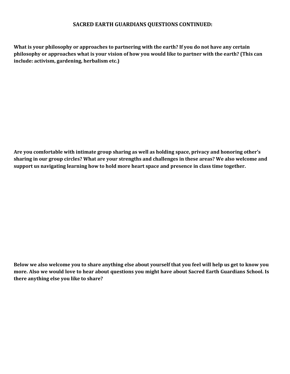### **SACRED EARTH GUARDIANS QUESTIONS CONTINUED:**

**What is your philosophy or approaches to partnering with the earth? If you do not have any certain philosophy or approaches what is your vision of how you would like to partner with the earth? (This can include: activism, gardening, herbalism etc.)**

**Are you comfortable with intimate group sharing as well as holding space, privacy and honoring other's sharing in our group circles? What are your strengths and challenges in these areas? We also welcome and support us navigating learning how to hold more heart space and presence in class time together.**

**Below we also welcome you to share anything else about yourself that you feel will help us get to know you more. Also we would love to hear about questions you might have about Sacred Earth Guardians School. Is there anything else you like to share?**